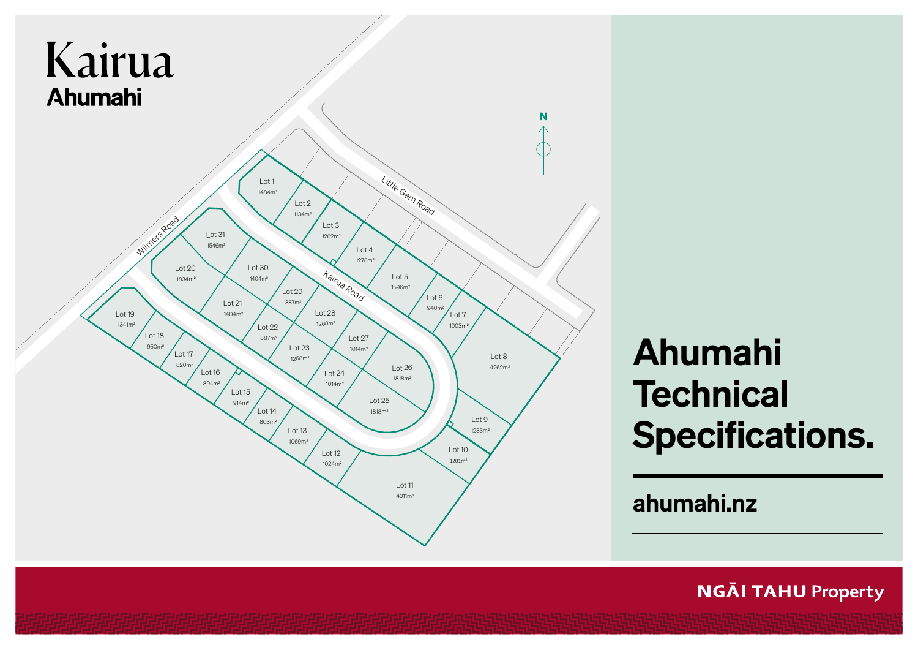

# Ahumahi **Technical** Specifications.

ahumahi.nz

**NGĀI TAHU Property**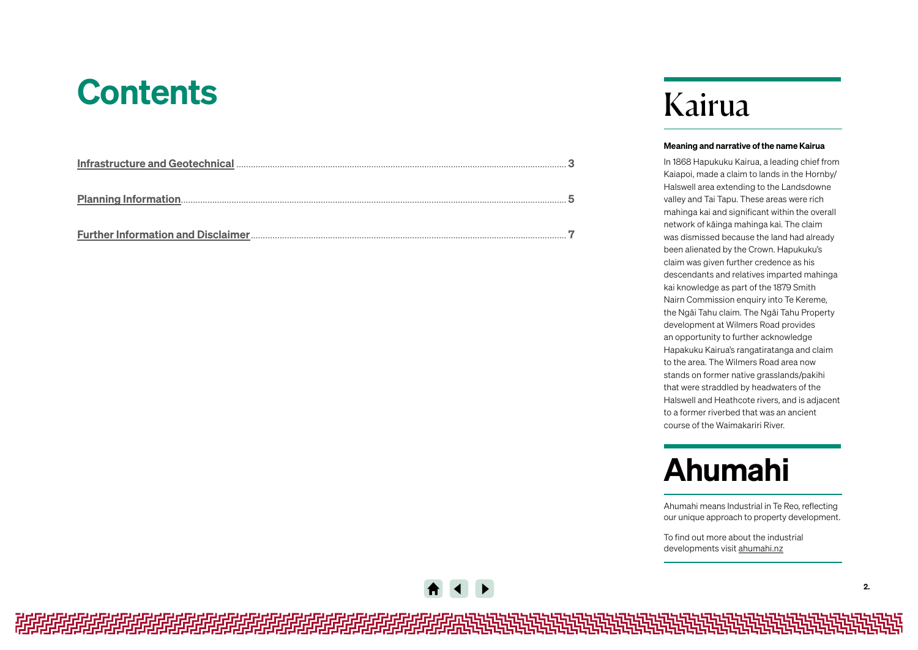## **Contents**

## Kairua

#### Meaning and narrative of the name Kairua

In 1868 Hapukuku Kairua, a leading chief from Kaiapoi, made a claim to lands in the Hornby/ Halswell area extending to the Landsdowne valley and Tai Tapu. These areas were rich mahinga kai and significant within the overall network of kāinga mahinga kai. The claim was dismissed because the land had already been alienated by the Crown. Hapukuku's claim was given further credence as his descendants and relatives imparted mahinga kai knowledge as part of the 1879 Smith Nairn Commission enquiry into Te Kereme, the Ngāi Tahu claim. The Ngāi Tahu Property development at Wilmers Road provides an opportunity to further acknowledge Hapakuku Kairua's rangatiratanga and claim to the area. The Wilmers Road area now stands on former native grasslands/pakihi that were straddled by headwaters of the Halswell and Heathcote rivers, and is adjacent to a former riverbed that was an ancient course of the Waimakariri River.

## Ahumahi

Ahumahi means Industrial in Te Reo, reflecting our unique approach to property development.

To find out more about the industrial developments visit [ahumahi.nz](https://ngaitahuproperty.co.nz/industrial/)

*相相相相相相相相相相相相相相相相相相相相*地的的说法的说法的说法说说说说说说说说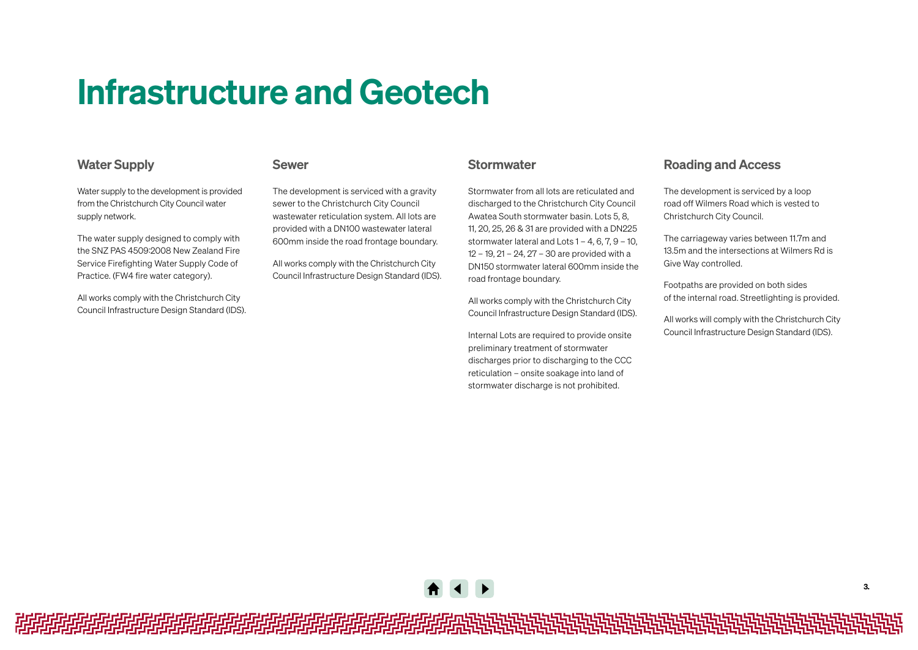## <span id="page-2-0"></span>Infrastructure and Geotech

### Water Supply

#### Sewer

Water supply to the development is provided from the Christchurch City Council water supply network.

The water supply designed to comply with the SNZ PAS 4509:2008 New Zealand Fire Service Firefighting Water Supply Code of Practice. (FW4 fire water category).

All works comply with the Christchurch City Council Infrastructure Design Standard (IDS). The development is serviced with a gravity sewer to the Christchurch City Council wastewater reticulation system. All lots are provided with a DN100 wastewater lateral 600mm inside the road frontage boundary.

All works comply with the Christchurch City Council Infrastructure Design Standard (IDS).

#### **Stormwater**

Stormwater from all lots are reticulated and discharged to the Christchurch City Council Awatea South stormwater basin. Lots 5, 8, 11, 20, 25, 26 & 31 are provided with a DN225 stormwater lateral and Lots 1 – 4, 6, 7, 9 – 10, 12 – 19, 21 – 24, 27 – 30 are provided with a DN150 stormwater lateral 600mm inside the road frontage boundary.

All works comply with the Christchurch City Council Infrastructure Design Standard (IDS).

Internal Lots are required to provide onsite preliminary treatment of stormwater discharges prior to discharging to the CCC reticulation – onsite soakage into land of stormwater discharge is not prohibited.

### Roading and Access

The development is serviced by a loop road off Wilmers Road which is vested to Christchurch City Council.

The carriageway varies between 11.7m and 13.5m and the intersections at Wilmers Rd is Give Way controlled.

Footpaths are provided on both sides of the internal road. Streetlighting is provided.

All works will comply with the Christchurch City Council Infrastructure Design Standard (IDS).



*相相相相相相相相相相相相相相相相相相相相*地的的说法的说法的说法说说说说说说说说说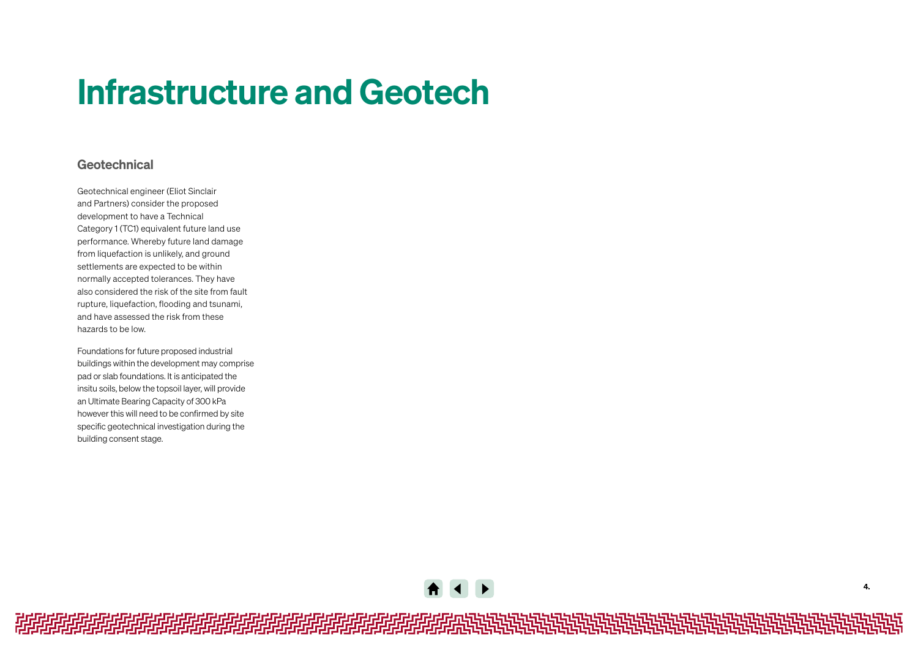## Infrastructure and Geotech

### Geotechnical

Geotechnical engineer (Eliot Sinclair and Partners) consider the proposed development to have a Technical Category 1 (TC1) equivalent future land use performance. Whereby future land damage from liquefaction is unlikely, and ground settlements are expected to be within normally accepted tolerances. They have also considered the risk of the site from fault rupture, liquefaction, flooding and tsunami, and have assessed the risk from these hazards to be low.

Foundations for future proposed industrial buildings within the development may comprise pad or slab foundations. It is anticipated the insitu soils, below the topsoil layer, will provide an Ultimate Bearing Capacity of 300 kPa however this will need to be confirmed by site specific geotechnical investigation during the building consent stage.

**A** 4 **E** 

*相相相相相相相相相相相相相相相相相相相相*地地地地地地地地地地地地地地地地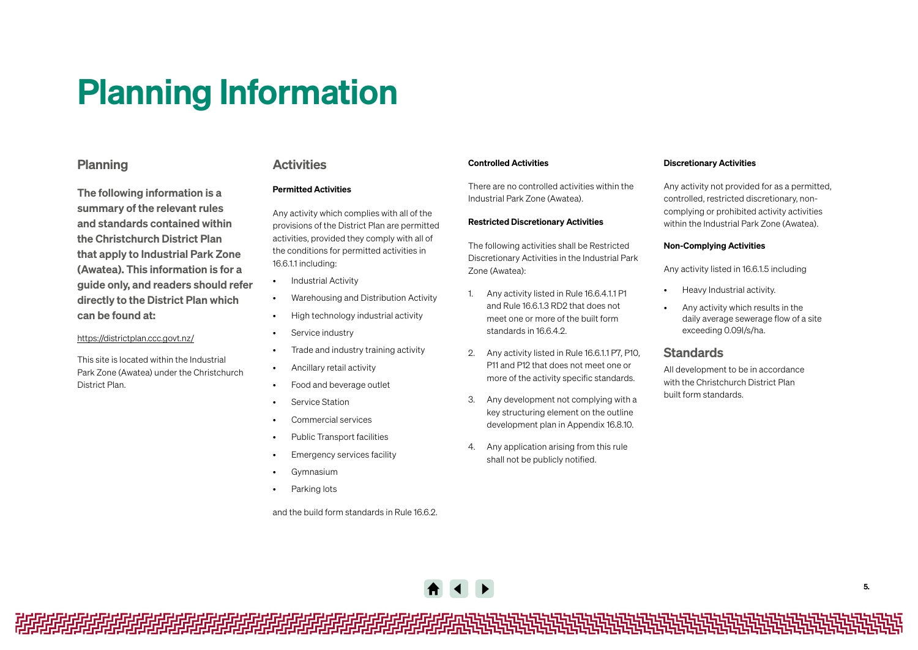## <span id="page-4-0"></span>Planning Information

### Planning

The following information is a summary of the relevant rules and standards contained within the Christchurch District Plan that apply to Industrial Park Zone (Awatea). This information is for a guide only, and readers should refer directly to the District Plan which can be found at:

#### https://districtplan.ccc.govt.nz/

This site is located within the Industrial Park Zone (Awatea) under the Christchurch District Plan.

#### **Activities**

#### Permitted Activities

Any activity which complies with all of the provisions of the District Plan are permitted activities, provided they comply with all of the conditions for permitted activities in 16.6.1.1 including:

- Industrial Activity
- Warehousing and Distribution Activity • High technology industrial activity
- Service industry
- Trade and industry training activity
- Ancillary retail activity
- Food and beverage outlet
- Service Station
- Commercial services
- Public Transport facilities
- Emergency services facility
- Gymnasium
- Parking lots

and the build form standards in Rule 16.6.2.

#### Controlled Activities

There are no controlled activities within the Industrial Park Zone (Awatea).

#### Restricted Discretionary Activities

The following activities shall be Restricted Discretionary Activities in the Industrial Park Zone (Awatea):

- 1. Any activity listed in Rule 16.6.4.1.1 P1 and Rule 16.6.1.3 RD2 that does not meet one or more of the built form standards in 16.6.4.2.
- 2. Any activity listed in Rule 16.6.1.1 P7, P10, P11 and P12 that does not meet one or more of the activity specific standards.
- 3. Any development not complying with a key structuring element on the outline development plan in Appendix 16.8.10.
- 4. Any application arising from this rule shall not be publicly notified.

#### Discretionary Activities

Any activity not provided for as a permitted, controlled, restricted discretionary, noncomplying or prohibited activity activities within the Industrial Park Zone (Awatea).

#### Non-Complying Activities

Any activity listed in 16.6.1.5 including

- Heavy Industrial activity.
- Any activity which results in the daily average sewerage flow of a site exceeding 0.09l/s/ha.

#### **Standards**

All development to be in accordance with the Christchurch District Plan built form standards.



*的时间的时间的时间的时间的时间的时间的时间*被减减减减减减减减减减减减减减减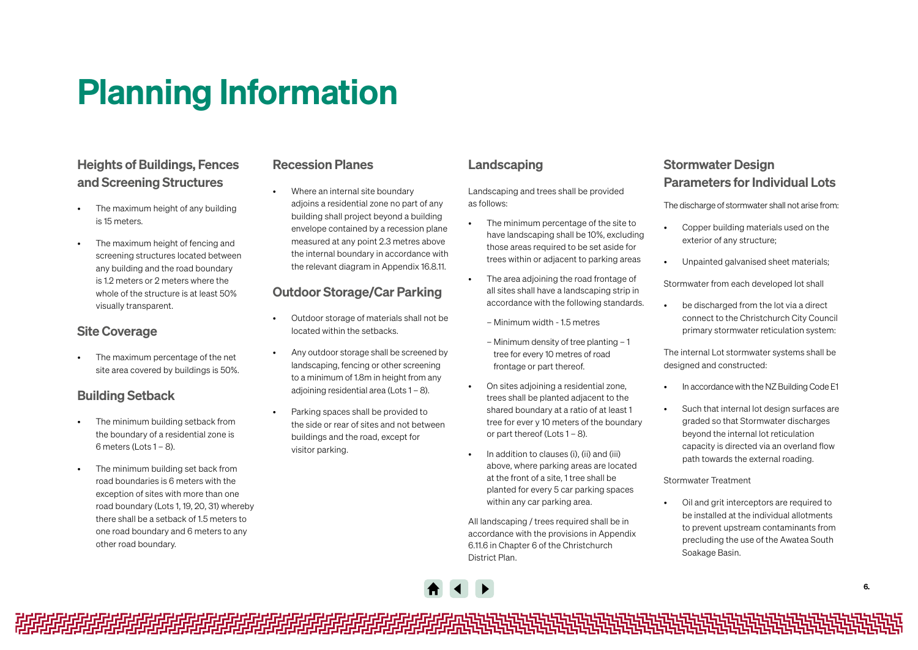## Planning Information

## Heights of Buildings, Fences and Screening Structures

- The maximum height of any building is 15 meters.
- The maximum height of fencing and screening structures located between any building and the road boundary is 1.2 meters or 2 meters where the whole of the structure is at least 50% visually transparent.

## Site Coverage

• The maximum percentage of the net site area covered by buildings is 50%.

## Building Setback

- The minimum building setback from the boundary of a residential zone is 6 meters (Lots 1 – 8).
- The minimum building set back from road boundaries is 6 meters with the exception of sites with more than one road boundary (Lots 1, 19, 20, 31) whereby there shall be a setback of 1.5 meters to one road boundary and 6 meters to any other road boundary.

### Recession Planes

• Where an internal site boundary adjoins a residential zone no part of any building shall project beyond a building envelope contained by a recession plane measured at any point 2.3 metres above the internal boundary in accordance with the relevant diagram in Appendix 16.8.11.

## Outdoor Storage/Car Parking

- Outdoor storage of materials shall not be located within the setbacks.
- Any outdoor storage shall be screened by landscaping, fencing or other screening to a minimum of 1.8m in height from any adjoining residential area (Lots 1 – 8).
- Parking spaces shall be provided to the side or rear of sites and not between buildings and the road, except for visitor parking.

### Landscaping

Landscaping and trees shall be provided as follows:

- The minimum percentage of the site to have landscaping shall be 10%, excluding those areas required to be set aside for trees within or adjacent to parking areas
- The area adjoining the road frontage of all sites shall have a landscaping strip in accordance with the following standards.
	- Minimum width 1.5 metres
	- Minimum density of tree planting 1 tree for every 10 metres of road frontage or part thereof.
	- On sites adjoining a residential zone, trees shall be planted adjacent to the shared boundary at a ratio of at least 1 tree for ever y 10 meters of the boundary or part thereof (Lots 1 – 8).
- In addition to clauses (i), (ii) and (iii) above, where parking areas are located at the front of a site, 1 tree shall be planted for every 5 car parking spaces within any car parking area.

All landscaping / trees required shall be in accordance with the provisions in Appendix 6.11.6 in Chapter 6 of the Christchurch District Plan.

## Stormwater Design Parameters for Individual Lots

The discharge of stormwater shall not arise from:

- Copper building materials used on the exterior of any structure;
- Unpainted galvanised sheet materials;

Stormwater from each developed lot shall

• be discharged from the lot via a direct connect to the Christchurch City Council primary stormwater reticulation system:

The internal Lot stormwater systems shall be designed and constructed:

- In accordance with the NZ Building Code E1
- Such that internal lot design surfaces are graded so that Stormwater discharges beyond the internal lot reticulation capacity is directed via an overland flow path towards the external roading.

Stormwater Treatment

• Oil and grit interceptors are required to be installed at the individual allotments to prevent upstream contaminants from precluding the use of the Awatea South Soakage Basin.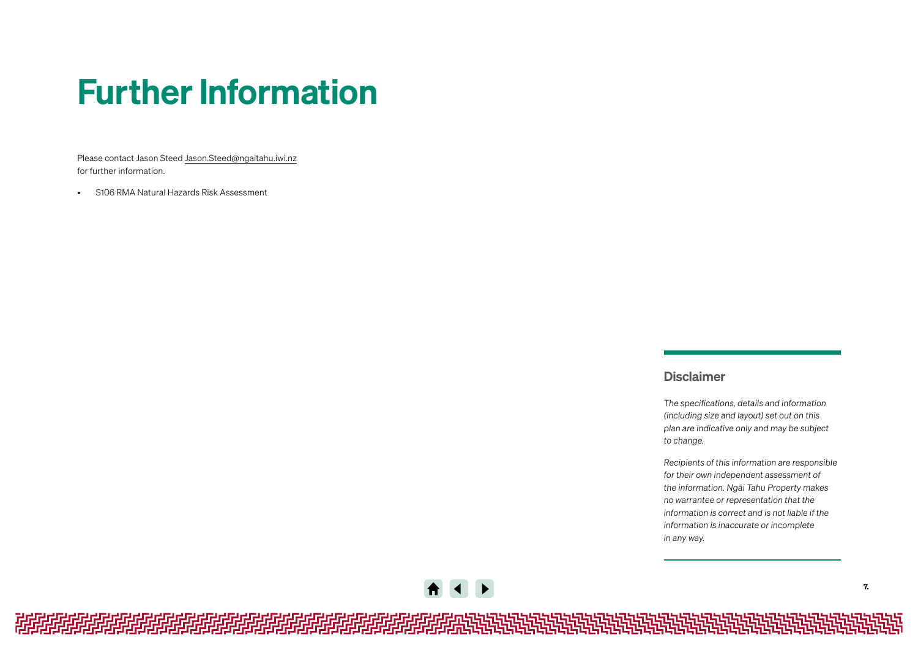## <span id="page-6-0"></span>Further Information

Please contact Jason Steed [Jason.Steed@ngaitahu.iwi.nz](mailto:Jason.Steed%40ngaitahu.iwi.nz?subject=Query) for further information.

• S106 RMA Natural Hazards Risk Assessment

### Disclaimer

*The specifications, details and information (including size and layout) set out on this plan are indicative only and may be subject to change.* 

*Recipients of this information are responsible for their own independent assessment of the information. Ngāi Tahu Property makes no warrantee or representation that the information is correct and is not liable if the information is inaccurate or incomplete in any way.* 

*相相相相相相相相相相相相相相相相相相相相*地做的的说法的说法的说法说说说说说说说